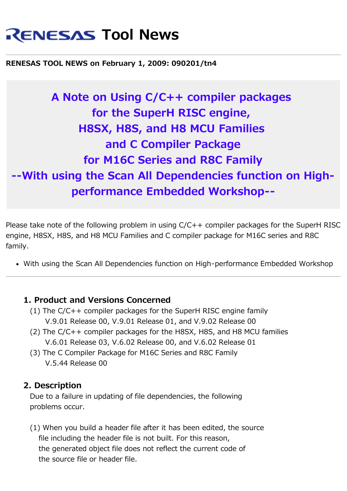# **RENESAS Tool News**

#### **RENESAS TOOL NEWS on February 1, 2009: 090201/tn4**

# **A Note on Using C/C++ compiler packages for the SuperH RISC engine, H8SX, H8S, and H8 MCU Families and C Compiler Package for M16C Series and R8C Family --With using the Scan All Dependencies function on Highperformance Embedded Workshop--**

Please take note of the following problem in using C/C++ compiler packages for the SuperH RISC engine, H8SX, H8S, and H8 MCU Families and C compiler package for M16C series and R8C family.

With using the Scan All Dependencies function on High-performance Embedded Workshop

#### **1. Product and Versions Concerned**

- (1) The C/C++ compiler packages for the SuperH RISC engine family V.9.01 Release 00, V.9.01 Release 01, and V.9.02 Release 00
- (2) The C/C++ compiler packages for the H8SX, H8S, and H8 MCU families V.6.01 Release 03, V.6.02 Release 00, and V.6.02 Release 01
- (3) The C Compiler Package for M16C Series and R8C Family V.5.44 Release 00

#### **2. Description**

 Due to a failure in updating of file dependencies, the following problems occur.

 (1) When you build a header file after it has been edited, the source file including the header file is not built. For this reason, the generated object file does not reflect the current code of the source file or header file.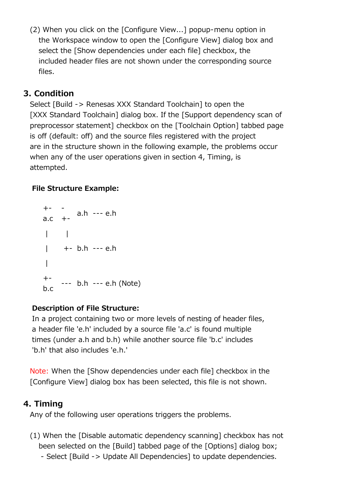(2) When you click on the [Configure View...] popup-menu option in the Workspace window to open the [Configure View] dialog box and select the [Show dependencies under each file] checkbox, the included header files are not shown under the corresponding source files.

# **3. Condition**

 Select [Build -> Renesas XXX Standard Toolchain] to open the [XXX Standard Toolchain] dialog box. If the [Support dependency scan of preprocessor statement] checkbox on the [Toolchain Option] tabbed page is off (default: off) and the source files registered with the project are in the structure shown in the following example, the problems occur when any of the user operations given in section 4, Timing, is attempted.

#### **File Structure Example:**

```
+-
a.c
      -
      +-
           a.h --- e.h
\| \cdot \|| + - b.h - - e.h|
+ -\overline{b}.c --- b.h --- e.h (Note)
```
#### **Description of File Structure:**

 In a project containing two or more levels of nesting of header files, a header file 'e.h' included by a source file 'a.c' is found multiple times (under a.h and b.h) while another source file 'b.c' includes 'b.h' that also includes 'e.h.'

 Note: When the [Show dependencies under each file] checkbox in the [Configure View] dialog box has been selected, this file is not shown.

#### **4. Timing**

Any of the following user operations triggers the problems.

- (1) When the [Disable automatic dependency scanning] checkbox has not been selected on the [Build] tabbed page of the [Options] dialog box;
	- Select [Build -> Update All Dependencies] to update dependencies.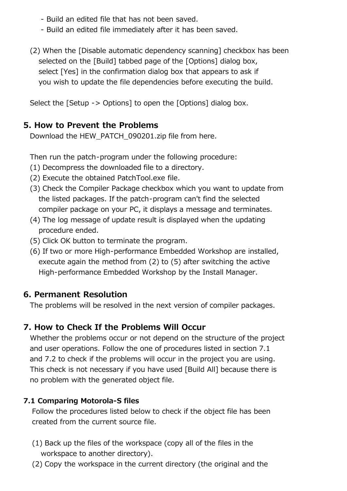- Build an edited file that has not been saved.
- Build an edited file immediately after it has been saved.
- (2) When the [Disable automatic dependency scanning] checkbox has been selected on the [Build] tabbed page of the [Options] dialog box, select [Yes] in the confirmation dialog box that appears to ask if you wish to update the file dependencies before executing the build.

Select the [Setup -> Options] to open the [Options] dialog box.

# **5. How to Prevent the Problems**

Download the HEW\_PATCH\_090201.zip file from here.

Then run the patch-program under the following procedure:

- (1) Decompress the downloaded file to a directory.
- (2) Execute the obtained PatchTool.exe file.
- (3) Check the Compiler Package checkbox which you want to update from the listed packages. If the patch-program can't find the selected compiler package on your PC, it displays a message and terminates.
- (4) The log message of update result is displayed when the updating procedure ended.
- (5) Click OK button to terminate the program.
- (6) If two or more High-performance Embedded Workshop are installed, execute again the method from (2) to (5) after switching the active High-performance Embedded Workshop by the Install Manager.

# **6. Permanent Resolution**

The problems will be resolved in the next version of compiler packages.

# **7. How to Check If the Problems Will Occur**

 Whether the problems occur or not depend on the structure of the project and user operations. Follow the one of procedures listed in section 7.1 and 7.2 to check if the problems will occur in the project you are using. This check is not necessary if you have used [Build All] because there is no problem with the generated object file.

### **7.1 Comparing Motorola-S files**

 Follow the procedures listed below to check if the object file has been created from the current source file.

- (1) Back up the files of the workspace (copy all of the files in the workspace to another directory).
- (2) Copy the workspace in the current directory (the original and the